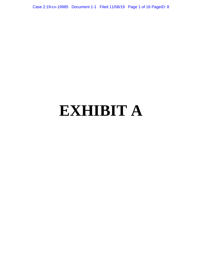Case 2:19-cv-19985 Document 1-1 Filed 11/08/19 Page 1 of 16 PageID: 8

# **EXHIBIT A**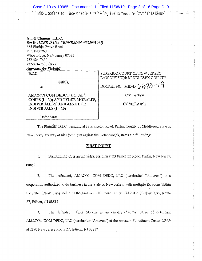Case 2:19-cv-19985 Document 1-1 Filed 11/08/19 Page 2 of 16 PageID: 9 MID-L-006893-19 10/04/2019 4:13:47 PM Pq 1 of 13 Trans ID: LCV20191812469

Gill & Chamas, L.L.C. By: WALTER DANA VENNEMAN (#023901997) 655 Florida Grove Road P.O. Box 760 Woodbridge, New Jersey 07095 732-324-7600 732-324-7606 (fax) **Attorneys for Plaintiff** 

 $\overline{$ D.J.C.

Plaintiffs.

VS.

AMAZON COM DEDC, LLC; ABC CORPS (I--V); AND TYLER MORALES, INDIVIDUALLY, AND JANE DOE INDIVIDUALS  $(1 - 10)$ 

SUPERIOR COURT OF NEW JERSEY LAW DIVISION: MIDDLESEX COUNTY

DOCKET NO.: MID-L- $({_0}893-19)$ 

Civil Action

#### **COMPLAINT**

Defendants.

The Plaintiff, D.J.C., residing at 33 Princeton Road, Parlin, County of Middlesex, State of New Jersey, by way of his Complaint against the Defendant(s), states the following:

#### **FIRST COUNT**

1. Plaintiff, D.J.C. is an individual residing at 33 Princeton Road, Parlin, New Jersey, 08859.

 $2<sub>1</sub>$ The defendant, AMAZON COM DEDC, LLC (hereinafter "Amazon") is a corporation authorized to do business in the State of New Jersey, with multiple locations within the State of New Jersey including the Amazon Fulfillment Center LGA9 at 2170 New Jersey Route 27, Edison, NJ 08817.

 $3<sub>1</sub>$ The defendant, Tyler Morales is an employee/representative of defendant AMAZON COM DEDC, LLC (hereinafter "Amazon") at the Amazon Fulfillment Center LGA9 at 2170 New Jersey Route 27, Edison, NJ 08817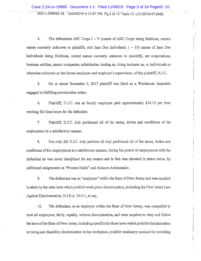$\overline{4}$ . The defendants ABC Corps  $I - V$  (names of ABC Corps being fictitious, correct names currently unknown to plaintiff), and Jane Doe Individuals  $1 - 10$  names of Jane Doe Individuals being fictitious, correct names currently unknown to plaintiff), are corporations, business entities, parent companies, subsidiaries, trading as, doing business as, or individuals or otherwise unknown as the former employer and employer's supervisors, of the plaintiff, D.J.C.

 $\mathbf{5}$ . On or about November 3, 2017 plaintiff was hired as a Warehouse Associate engaged in fulfilling merchandise orders.

6. Plaintiff, D.J.C. was an hourly employee paid approximately \$14.10 per hour working full time hours for the defendant.

 $7.$ Plaintiff, D.J.C. duly performed all of the terms, duties and conditions of his employment in a satisfactory manner.

 $\mathbb{R}^2$ 

8. Not only did D.J.C, duly perform all duly performed all of the terms, duties and conditions of his employment in a satisfactory manner, during his period of employment with the defendant he was never disciplined for any reason and in fact was elevated in status twice, by additional assignments as "Process Guide" and Amazon Ambassador,

9. The defendant was an "employer" within the State of New Jersey and was required to abide by the state laws which prohibit work place discrimination, including the New Jersey Law Against Discrimination, N.J.S.A. 10:5-1, et seq.

10. The defendant, as an employer within the State of New Jersey, was compelled to treat all employees, fairly, equally, without discrimination, and were required to obey and follow the laws of the State of New Jersey, including specifically those laws which prohibit discrimination in hiring and disability discrimination in the workplace, prohibit retaliatory conduct for providing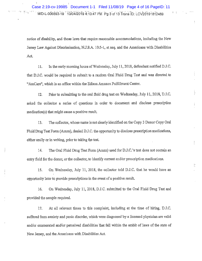..

notice of disability, and those laws that require reasonable accommodations, including the New Jersey Law Against Discrimination, N.J.S.A, 10;5-1, et seq, and the Americans with Disabilities Act,

11. In the early morning hours of Wednesday, July 11, 2018, defendant notified D.J.C. that D.J.C, would be required to submit to a random Oral Fluid Drug Test and was directed. to "AmCare", which is an office within the Edison Amazon Fulfillment Center.

12. Prior to submitting to the oral fluid drug test on Wednesday, July 11, 2018, D.J.C. asked the collector a series of questions in order to document and disclose prescription medication(s) that might cause a positive result,

13. The collector, whose name is not clearly identified on the Copy 3 Donor Copy Oral Fluid Drug Test Form (Amzn), denied D.J.C; the opportunity to disclose prescription medications, either orally or in writing, prior to taking the test.

14. The Ora1 Fluid Drug Test Form (Arnzn) used for D.J,C,.'s test does not contain an entry field for the donor; or the collector, to identify current and/or prescription medications.

15. On Wednesday, July 11, 2018, the collector told D.J.C, that he would have an opportunity later to provide prescriptions in the event of a positive result.

t.

16. On Wednesday, July 11, 2018, D.J.C. submitted to the Oral Fluid Drug Test and provided the sample required.

t7. At all relevant times to this complaint, including at the time of hiring, D.J.C, suffered from anxiety and panic disorder, which were diagnosed by a licensed physician are valid and/or enumerated and/or perceived disabilities that fall within the ambit of laws of the state of New Jersey, and the Americans with Disabilities Act.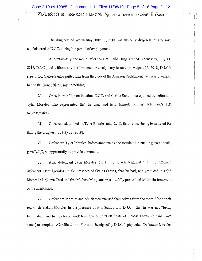- MID-L-006893-19 10/04/2019 4:13:47 PM Pg 4 of 13 Trans ID: LCV20191812469  $-\frac{1}{2}$ ...<br>MID-L-006893-19 10/04/2019 4:13:47 PM Pg 4 of 13 Trans ID: LCV2019 :1812469 ~ Case 2:19-cv-19985 Document 1-1 Filed 11/08/19 Page 5 of 16 PageID: 12

18. The drug test of Wednesday, July 11, 2018 was the only drug test, or any sort, adinimistered to D.J.C. during his period of employment.

19. Approximately one month after the Oial Fliiid Drug Test of Wednesday, July 11, 2018, D.J.C., and without any performance or disciplinary issues, on August 15, 2018, D.J.C's supervisor, Carlos Santos pulled him from the floor of the Amazon Fulfillment Center and walked him to the front offices, saying nothing.

20, Once in an office on location, D.J.C, and Carlos Santos were joined by defendant Tyler Morales who represented that he was; and held himself out as; defendant's HR ~ Representative.

21. Once seated, defendant. Tyler Morales told D.J.C., that he was being terminated for failing the drug test [of July 11, 2018].

22. Defendant Tyler Morales, before announcing the termination and its general basis, gave D:J.C, no opportunity to provide conunent..

23. After defendant Tyler Morales told D.J.C, he was terminated, D.J.C, informed defendant Tyler Morales, in the presence of Carlos Santos, that he- had, and produced, a valid Medical Marijuana Card and that Medical Marijuana was lawfully prescribed to him for treatment of his disabilities.

24. Defendant Morales and Mr. Santos excused themselves from the room. Upon their return, defendant Morales in the presence of Mr. Santos told  $D.J.C.$  that he was not "being terminated" and had to leave work temporarily on "Certificate of Fitness Leave" (a paid leave status) to complete a Certification of Fitness to be signed by D.J.C.'s physician. Defendant Morales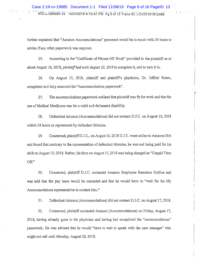.. -;. ..\_: .. .

further explained that "Amazon Accommodations" personnel would be in touch with 24 hours to advise if any other paperwork was required.

25. According to the "Certificate of Fitness Off Work" provided to the plaintiff on or about August 16, 2018, *plaintiff had until August 22, 2018* to complete it, and to turn it in.

26. On August 17, 2018, plaintiff and plaintiff's :physician, Dr, Jeffrey Rosen, completed and duly executed the "Accommodations paperwork".

27. The accommodations paperwork outlined that plaintiff was fit for work and that the use of Medical Marijuana was for a valid and delineated disability.

28. Defendant Amazon (Accommodations) did not contact D.J.C. on August 16, 2018 within 24 hours as represented by defendant Morales.

29. Concerned, plaintiff D.J.C., on August 16, 2018 D.J.C. went online to Amazon Hub and found that contrary to the representation of defendant Morales, he was not being paid for his shift on August 15, 2018. Rather, his time on August 15, 2018 was being charged as "Unpaid Time Of£"

.30. Concerried, plaintiff D..J.C, contacted Amazon Employee Resource Hotline aiid was told that the pay issue would be corrected and that he would have to "wait for the My Accommodations representative to contact him."

31. Defendarit Amazon (Accommodations) did not contact D.J,C., on August 17, 2018.

32. Concerned, plaintiff contacted Amazon (Accommodations) on Friday, August 17, 2018, having already gone to his physician and having had completed the "accommodations" paperwork. He was advised that he would "have to wait to speak with the case manager" who might not call until Monday, August 20, 2018.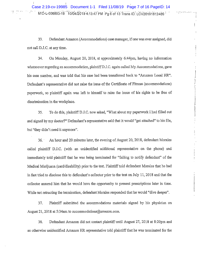~ .... ... • . :.. . . . .... ......::~-.. . ~ . . ... . . . . .. ... I ; ,.......~.~.:...:.e•. ..,1 MID-L-006893-19 10 .. /04/2019 4:13:47 PM Pg 6 of 13 Trans ID LCV20191812469 Case 2:19-cv-19985 Document 1-1 Filed 11/08/19 Page 7 of 16 PageID: 14

计计计

33, Defendant Amazon (Acconunodations) case manager, if one was ever assigned, did not call D.J.C, at any time.

34. On Monday, August 20, 2018, at approximately 6;44pm, having no iuformation whatsoever regarding an accommodation, plaintiff D,J.C. again called My Accommodations, gave his case number, and was told that his case had been transferred back to "Amazon Local HR". Defendant's representative did not raise the issue of the Certificate of Fitness (accommodations) paperwork, so plaintiff again was left to himself to raise the issue of his rights to be free of discrimination in the workplace.

35. To do this, plaintiff D.J.C. now asked, "What about my paperwork I had filled out and signed by my doctor?" Defendant's representative said that it would "get attached" to his file, but "they didn't need it anymore".

36. An hour and 20 minutes later, the evening of August 20, 2018, defendant Morales called plaintiff D.J.C. (with an unidentifed additional representative on the phone) and immediately told plaintiff that he was being terminated for "failing to notify defendant" of the Medical Marijuana (card/disability) prior to the test. Plaintiff told defendant Morales that he had in fact tried to disclose this to defendant's collector prior to the test on July 11, 2018 and that the collector assured him that he would have the opportunity to present prescriptions later in time. While not retracting the termination, defendant Morales responded that he would "dive deeper".

37. Plaintiff submitted the accommodations materials signed by his physician on August 21, 2018 at 5:34am to accommodations@amazon.com.

38. Defendant Amazon did not contact plaintiff until August 27, 2018 at 8:20pm and an otherwise unidentified Amazon HR representative told plaintiff that he was terminated for the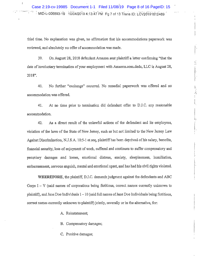$\mathbf{I}$ 

third time. No explanation was given, no affirmation that his accommodations paperwork was reviewed, and absolutely no offer of accommodation was made.

39. On August 28, 2018 defendant Amazon sent plaintiff a letter confirming "that the date of involuntary termination of your employment with Amazon.com.dedc, LLC is August 28, 2018".

上海上海

No further "exchange" occurred. No remedial paperwork was offered and no 40. accommodation was offered.

At no time prior to termination did defendant offer to D.J.C. any reasonable 41. accommodation.

42. As a direct result of the unlawful actions of the defendant and its employees, violation of the laws of the State of New Jersey, such as but not limited to the New Jersey Law Against Discrimination, N.J.S.A. 10:5-1 et seq, plaintiff has been deprived of his salary, benefits, financial security, loss of enjoyment of work, suffered and continues to suffer compensatory and pecuniary damages and losses, emotional distress, anxiety, sleeplessness, humiliation, embarrassment, nervous anguish, mental and emotional upset, and has had his civil rights violated.

WHEREFORE, the plaintiff, D.J.C. demands judgment against the defendants and ABC Corps  $I - V$  (said names of corporations being fictitious, correct names currently unknown to plaintiff), and Jane Doe Individuals  $1 - 10$  (said full names of Jane Doe Individuals being fictitious, correct names currently unknown to plaintiff) jointly, severally or in the alternative, for:

A. Reinstatement;

B. Compensatory damages;

C. Punitive damages;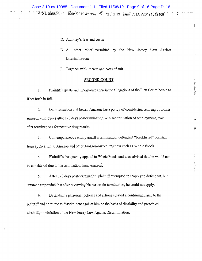- D. Attorney's fees and costs;
- E, All other relief permitted by the New Jersey Law Against Discrimination;

2010年11月1日

 $\mathcal{C}$ 

 $\frac{1}{2}$ .

- 大作品情報がなく

P.

F, Together with interest and costs of suit.

#### SECOND COUNT

1. Plaintiff repeats and incorporates herein the allegations of the First Count herein as if set forth in full.

2. On information and belief, Amazon has a policy of considering rehiring of former Amazon employees after 120 days post-termination, or discontinuation of employment, even after terminations for positive drug results.

3. Contemporaneous with plaintiff's termination, defendant "blacklisted" plaintiff from application to Amazon and other Amazon-owned business such as Whole Foods,

4. Plaintiff subsequently applied to Whole Foods and was advised that he would not be considered due to his termination from Amazon.

5. After 120 days post-termination, plaintiff attempted to reapply to defendant, but Amazon responded that after reviewing his reason for termination, he could not apply,

6. Defendant's personnel policies and actions created a continuing harm to the plaintiff and continue to discriminate against him on the basis of disability and perceived disability in violation of the New Jersey Law Against Discrimination,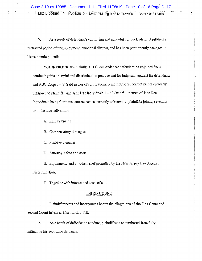7. As a result of defendant's continuing and unlawful conduct, plaintiff suffered a protracted period of unemployment, emotional distress, and has been permanently damaged in his economic potential.

WHEREFORE, the plaintiff, D.J.C. demands that defendant be enjoined from continuing this unlawful and discrimination practice and for judgment against the defendants and ABC Corps  $I - V$  (said names of corporations being fictitious, correct names currently unknown to plaintiff), and Jane Doe Individuals  $1 - 10$  (said full names of Jane Doe Individuals being fictitious, correct names currently unknown to plaintiff) jointly, severally or in the alternative, for:

- A. Reinstatement;
- B. Compensatory damages;
- C. Punitive damages;
- D. Attorney's fees and costs;

E. Enjoinment, and all other relief permitted by the New Jersey Law Against Discrimination;

F. Together with interest and costs of suit.

#### **THIRD COUNT**

 $1<sub>1</sub>$ Plaintiff repeats and incorporates herein the allegations of the First Count and Second Count herein as if set forth in full.

 $2.$ As a result of defendant's conduct, plaintiff was encumbered from fully mitigating his economic damages.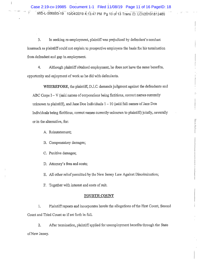Case 2:19-cv-19985 Document 1-1 Filed 11/08/19 Page 11 of 16 PageID: 18 MID-L-006893-19 10/04/2019 4:13:47 PM Pg 10 of 13 Trans ID: LCV20191812469

3. In seeking re-employment, plaintiff was prejudiced by defendant's conduct. inasmuch as plaintiff could not explain to prospective employers the basis for his termination from defendant and gap in employment.

4. Although plaintiff obtained employment, he does not have the same benefits, opportunity and enjoyment of work as he did with defendants.

WHEREFORE, the plaintiff, D.J.C. demands judgment against the defendants and ABC Corps  $I - V$  (said names of corporations being fictitious, correct names currently unknown to plaintiff), and Jane Doe Individuals  $1 - 10$  (said full names of Jane Doe Individuals being fictitious, correct names currently unknown to plaintiff) jointly, severally or in the alternative, for:

A. Reinstatement;

 $\overline{\phantom{a}}$ 

B. Compensatory damages;

C. Punitive damages;

D. Attorney's fees and costs;

E. All other relief permitted by the New Jersey Law Against Discrimination;

F. Together with interest and costs of suit.

#### **FOURTH COUNT**

Plaintiff repeats and incorporates herein the allegations of the First Count, Second  $1<sub>1</sub>$ Count and Third Count as if set forth in full.

 $2.$ After termination, plaintiff applied for unemployment benefits through the State of New Jersey.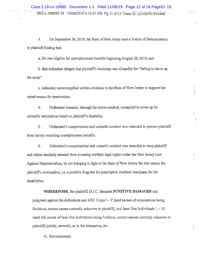$\left| \quad \right|$ 

 $\int_0^\infty$ 

Þ

3. On September 24, 2018, the State of New Jersey sent a Notice of Determination to plaintiff finding that:

a. He was eligible for unemployment benefits beginning August 26, 2018; and

b, that defendant alleged that plaintiff's discharge was allegedly for "failing to show up for work"

c. defendant never supplied written evidence to the State of New Jersey to support the stated reason for termination.

4. Defendant Amazon, through the above conduct, conspired to cover up its unlawful termination based on plaintiff's disability.

5. Defendant's conspiratorial and unlawful conduct was intended to prevent plaintiff from timely receiving unemployment benefits.

6. Defendant's conspiratorial and unlawful conduct was intended to keep plaintiff and others similarly situated from pursuing his/their legal rights under the New Jersey Law Against Discrimination, by not bringing to light to the State of New Jersey the real reason for plaintiff's termination, i.e. a positive drug test for prescription medical marijuana for his disabilities.

WHEREFORE, the plaintiff, D.J.C. demands PUNITIVE DAMAGES and

judgment against the defendants and ABC Corps  $I - V$  (said names of corporations being. fictitious, correct names currently unknown to plaintiff), and Jane Doe Individuals  $1 - 10$ (said full names of Jane Doe Individuals being fictitious, correct names currently unknown to plaintiff) jointly, severally or in the alternative, for:

A. Reinstatement;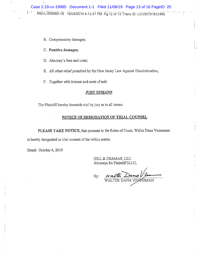

- B. Compensatory damages;
- C. Punitive damages;
- D. Attorney's fees and costs;
- E. All other relief permitted by the New Jersey Law Against Discrimination;
- F. Together with interest and costs of suit.

#### **JURY DEMAND**

The Plaintiff hereby demands trial by jury as to all issues.

#### NOTICE OF DESIGNATION OF TRIAL COUNSEL

PLEASE TAKE NOTICE, that pursuant to the Rules of Court, Walter Dana Venneman is hereby designated as trial counsel of the within matter.

Dated: October 4, 2019

GILL & CHAMAS, LLC. Attorneys for Plaintiff D.J.C.

By: WALTER DANA VENNEMAN

 $\frac{1}{\mu_{\rm s}}$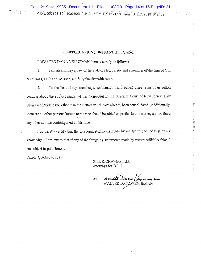:~-.. . . . . .. ...:. .... .. \_ . . . .\_. MID-L-006893-19 10/04/2019 4;13:47 PM Pg 13 of 13 Tr.an .:.s:: ! ID: . : . LCV20191812469 ~ Case 2:19-cv-19985 Document 1-1 Filed 11/08/19 Page 14 of 16 PageID: 21

#### CERTIFICATION PURSUANT TO.R. 4:5-1

I, WALTER DANA VENNEMAN, hereby certify as follows:

1. I am an attorney at law of the State of New Jersey and a member of the firm of Gill  $&$  Chamas, LLC and, as such, am fully familiar with same.

2. To the best of my knowledge, confirmation and belief, there is no other action pending about the subject matter of this Complaint in the Superior Court of New Jersey, Law Division of Middlesex, other than the matters which have already been consolidated. Additionally, there are no other persons known to me who should be added as parties to this matter, nor are there Division of Middlesex, other than the matters which have already been consolidated. Additionally,<br>there are no other persons known to me who should be added as parties to this matter, nor are there<br>any other actions contem

I do hereby certify that the foregoing statements made by me are true to the best of my 'knowledge. I am aware that if any of the foregoing statements made by me are willfully false, I am subject to punishment.

Dated; October 4, 2019

G1LL & CHAMAS, LLC Attorneys for D,J.C.

Dana By:  $\nu$ ENNEMAN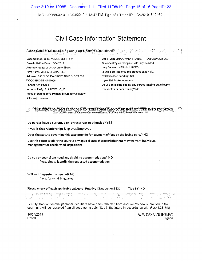Case 2:19-cv-19985 Document 1-1 Filed 11/08/19 Page 15 of 16 PageID: 22

MID-L-006893-19 10/04/2019 4:13:47 PM Pg 1 of 1 Trans ID: LCV20191812469

## Civil Case Information Statement . ......-, . . .\_ \_. . -. . \_.. . .\_... .r . .

### $\mathcal{P}$ Case Details. MIDDLESEX, CIVII, Part Docket# L-006893-19  $\mathcal{P}$  ,  $\mathcal{P}$  ,  $\mathcal{P}$  ,  $\mathcal{P}$  ,  $\mathcal{P}$  ,  $\mathcal{P}$  ,  $\mathcal{P}$

Case Initiation Date: 10/04/2019 Document Type: Complaint with Jury Demand Attorney Name: W DANA VENNEMAN Jury Demand: YES - 6 JURORS Firm Name: GILL & CHAMAS LLC **Internal 2008** Is this a professional malpractice case? NO Address: 655 FLORIDA GROVE RD P.O. BOX 760 Related cases pending: NO WOODBRIDGE NJ 07095 ISSN 07095 If yes, list docket numbers: Name of Party: PLAINTIFF : C., D., J transaction or occurrence)? NO Name of Defendant's Primary Insurance Company (if known): Unknown

Case Caption: C. D. VS ABC CORP 1-V Case Type: EMPLOYMENT (OTHER THAN CEPA OR LAD) Phone: 7323247600 Do you anticipate adding any parties (arising out of same

#### $\sim$  . The information frovided on this form cannot be introduced into evidence CASE CHARACTERISTICS FOR PURPOSES OF DETERMINING IF CASE IS APPROPRIATE FOR MEDIATION

Do parties have a current, past, or recurrent relationship? YES

If yes, is that relationship: Employer/Employee

Does the statute governing this case provide for payment of fees by the losing party? NO

Use this space to aiert the court to any special case characteristics that may warrant individual management or accelerated disposition:

Do you or your ciient need any disabiiity accommodations? NO If yes, please identify the requested accommodation:

Will an interpreter be needed? NO If yes, for what language:

Please check off each applicable category: Putative Class Action? NO Title 59? NO

.<br>האחרות המאופייני אופייים באופיים בעיקרות המאוד המאוד המאוד המאוד המאוד המאוד המאוד המאוד המאוד המאוד המאוד המא . . .. > \_" . , , . . . • , . . . . , . ,.. ~ . " s . , .  $\mathbb{R}^m \subset \{0,1\}$ .  $\lambda$  ,  $\Delta \lambda$  is a finally constant with  $\lambda$  . The  $\lambda$  $\epsilon \cdot \mathbb{R}$  , and  $\epsilon \cdot \mathbb{R}$  $\frac{1}{\sqrt{2}}$  ,  $\frac{1}{\sqrt{2}}$  ,  $\frac{1}{\sqrt{2}}$  ,  $\frac{1}{\sqrt{2}}$  ,  $\frac{1}{\sqrt{2}}$  ,  $\frac{1}{\sqrt{2}}$  ,  $\frac{1}{\sqrt{2}}$  ,  $\frac{1}{\sqrt{2}}$  ,  $\frac{1}{\sqrt{2}}$  ,  $\frac{1}{\sqrt{2}}$  ,  $\frac{1}{\sqrt{2}}$  ,  $\frac{1}{\sqrt{2}}$  ,  $\frac{1}{\sqrt{2}}$  ,  $\frac{1}{\sqrt{2}}$  ,  $\frac{1}{\sqrt{2}}$ 

I certify that confidential personal identifiers have been redacted from documents now submitted to the court, and will be redacted from all documenta submitted in the future in accordance with *Rule* 1:38-7(b)

10/04/2019 /s/ W DANA VENNEMAN Dated Signed